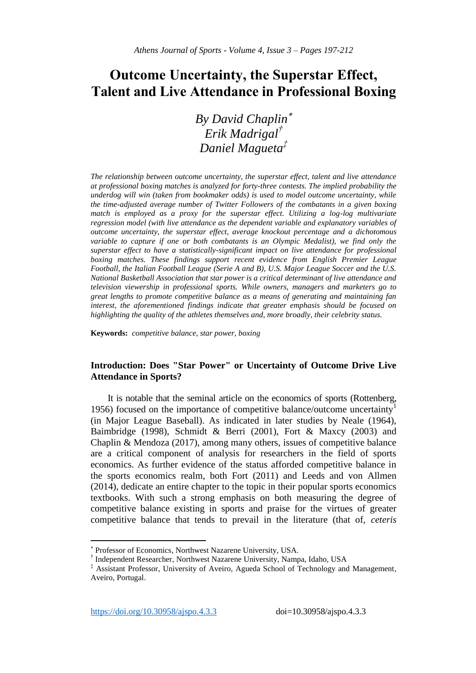# **Outcome Uncertainty, the Superstar Effect, Talent and Live Attendance in Professional Boxing**

*By David Chaplin Erik Madrigal† Daniel Magueta‡*

*The relationship between outcome uncertainty, the superstar effect, talent and live attendance at professional boxing matches is analyzed for forty-three contests. The implied probability the underdog will win (taken from bookmaker odds) is used to model outcome uncertainty, while the time-adjusted average number of Twitter Followers of the combatants in a given boxing match is employed as a proxy for the superstar effect. Utilizing a log-log multivariate regression model (with live attendance as the dependent variable and explanatory variables of outcome uncertainty, the superstar effect, average knockout percentage and a dichotomous variable to capture if one or both combatants is an Olympic Medalist), we find only the superstar effect to have a statistically-significant impact on live attendance for professional boxing matches. These findings support recent evidence from English Premier League Football, the Italian Football League (Serie A and B), U.S. Major League Soccer and the U.S. National Basketball Association that star power is a critical determinant of live attendance and television viewership in professional sports. While owners, managers and marketers go to great lengths to promote competitive balance as a means of generating and maintaining fan interest, the aforementioned findings indicate that greater emphasis should be focused on highlighting the quality of the athletes themselves and, more broadly, their celebrity status.*

**Keywords:** *competitive balance, star power, boxing* 

# **Introduction: Does "Star Power" or Uncertainty of Outcome Drive Live Attendance in Sports?**

It is notable that the seminal article on the economics of sports (Rottenberg, 1956) focused on the importance of competitive balance/outcome uncertainty<sup>1</sup> (in Major League Baseball). As indicated in later studies by Neale (1964), Baimbridge (1998), Schmidt & Berri (2001), Fort & Maxcy (2003) and Chaplin & Mendoza (2017), among many others, issues of competitive balance are a critical component of analysis for researchers in the field of sports economics. As further evidence of the status afforded competitive balance in the sports economics realm, both Fort (2011) and Leeds and von Allmen (2014), dedicate an entire chapter to the topic in their popular sports economics textbooks. With such a strong emphasis on both measuring the degree of competitive balance existing in sports and praise for the virtues of greater competitive balance that tends to prevail in the literature (that of, *ceteris* 

 $\overline{\phantom{a}}$ 

<sup>×</sup> Professor of Economics, Northwest Nazarene University, USA.

<sup>†</sup> Independent Researcher, Northwest Nazarene University, Nampa, Idaho, USA

<sup>‡</sup> Assistant Professor, University of Aveiro, Agueda School of Technology and Management, Aveiro, Portugal.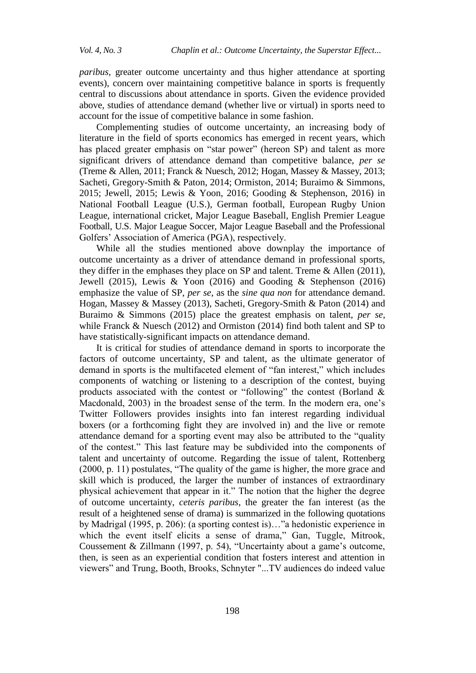*paribus,* greater outcome uncertainty and thus higher attendance at sporting events), concern over maintaining competitive balance in sports is frequently central to discussions about attendance in sports. Given the evidence provided above, studies of attendance demand (whether live or virtual) in sports need to account for the issue of competitive balance in some fashion.

Complementing studies of outcome uncertainty, an increasing body of literature in the field of sports economics has emerged in recent years, which has placed greater emphasis on "star power" (hereon SP) and talent as more significant drivers of attendance demand than competitive balance, *per se* (Treme & Allen, 2011; Franck & Nuesch, 2012; Hogan, Massey & Massey, 2013; Sacheti, Gregory-Smith & Paton, 2014; Ormiston, 2014; Buraimo & Simmons, 2015; Jewell, 2015; Lewis & Yoon, 2016; Gooding & Stephenson, 2016) in National Football League (U.S.), German football, European Rugby Union League, international cricket, Major League Baseball, English Premier League Football, U.S. Major League Soccer, Major League Baseball and the Professional Golfers" Association of America (PGA), respectively.

While all the studies mentioned above downplay the importance of outcome uncertainty as a driver of attendance demand in professional sports, they differ in the emphases they place on SP and talent. Treme & Allen (2011), Jewell (2015), Lewis & Yoon (2016) and Gooding & Stephenson (2016) emphasize the value of SP, *per se*, as the *sine qua non* for attendance demand. Hogan, Massey & Massey (2013), Sacheti, Gregory-Smith & Paton (2014) and Buraimo & Simmons (2015) place the greatest emphasis on talent, *per se*, while Franck & Nuesch (2012) and Ormiston (2014) find both talent and SP to have statistically-significant impacts on attendance demand.

It is critical for studies of attendance demand in sports to incorporate the factors of outcome uncertainty, SP and talent, as the ultimate generator of demand in sports is the multifaceted element of "fan interest," which includes components of watching or listening to a description of the contest, buying products associated with the contest or "following" the contest (Borland & Macdonald, 2003) in the broadest sense of the term. In the modern era, one"s Twitter Followers provides insights into fan interest regarding individual boxers (or a forthcoming fight they are involved in) and the live or remote attendance demand for a sporting event may also be attributed to the "quality of the contest." This last feature may be subdivided into the components of talent and uncertainty of outcome. Regarding the issue of talent, Rottenberg (2000, p. 11) postulates, "The quality of the game is higher, the more grace and skill which is produced, the larger the number of instances of extraordinary physical achievement that appear in it." The notion that the higher the degree of outcome uncertainty, *ceteris paribus*, the greater the fan interest (as the result of a heightened sense of drama) is summarized in the following quotations by Madrigal (1995, p. 206): (a sporting contest is)…"a hedonistic experience in which the event itself elicits a sense of drama," Gan, Tuggle, Mitrook, Coussement & Zillmann (1997, p. 54), "Uncertainty about a game's outcome, then, is seen as an experiential condition that fosters interest and attention in viewers" and Trung, Booth, Brooks, Schnyter "...TV audiences do indeed value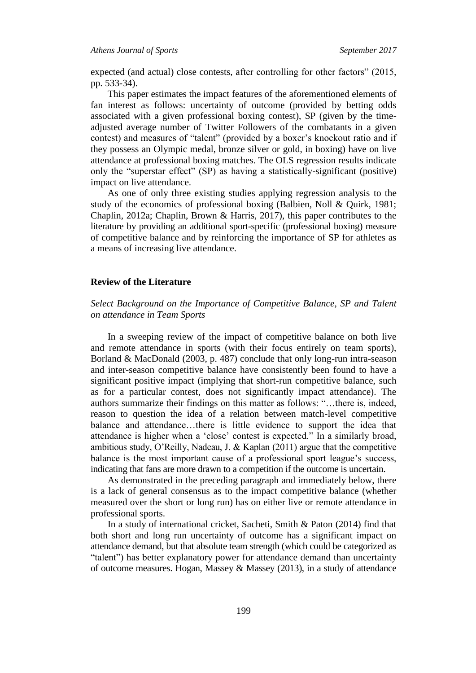expected (and actual) close contests, after controlling for other factors" (2015, pp. 533-34).

This paper estimates the impact features of the aforementioned elements of fan interest as follows: uncertainty of outcome (provided by betting odds associated with a given professional boxing contest), SP (given by the timeadjusted average number of Twitter Followers of the combatants in a given contest) and measures of "talent" (provided by a boxer's knockout ratio and if they possess an Olympic medal, bronze silver or gold, in boxing) have on live attendance at professional boxing matches. The OLS regression results indicate only the "superstar effect" (SP) as having a statistically-significant (positive) impact on live attendance.

As one of only three existing studies applying regression analysis to the study of the economics of professional boxing (Balbien, Noll & Quirk, 1981; Chaplin, 2012a; Chaplin, Brown & Harris, 2017), this paper contributes to the literature by providing an additional sport-specific (professional boxing) measure of competitive balance and by reinforcing the importance of SP for athletes as a means of increasing live attendance.

### **Review of the Literature**

# *Select Background on the Importance of Competitive Balance, SP and Talent on attendance in Team Sports*

In a sweeping review of the impact of competitive balance on both live and remote attendance in sports (with their focus entirely on team sports), Borland & MacDonald (2003, p. 487) conclude that only long-run intra-season and inter-season competitive balance have consistently been found to have a significant positive impact (implying that short-run competitive balance, such as for a particular contest, does not significantly impact attendance). The authors summarize their findings on this matter as follows: "…there is, indeed, reason to question the idea of a relation between match-level competitive balance and attendance…there is little evidence to support the idea that attendance is higher when a "close" contest is expected." In a similarly broad, ambitious study, O"Reilly, Nadeau, J. & Kaplan (2011) argue that the competitive balance is the most important cause of a professional sport league's success, indicating that fans are more drawn to a competition if the outcome is uncertain.

As demonstrated in the preceding paragraph and immediately below, there is a lack of general consensus as to the impact competitive balance (whether measured over the short or long run) has on either live or remote attendance in professional sports.

In a study of international cricket, Sacheti, Smith & Paton (2014) find that both short and long run uncertainty of outcome has a significant impact on attendance demand, but that absolute team strength (which could be categorized as "talent") has better explanatory power for attendance demand than uncertainty of outcome measures. Hogan, Massey & Massey (2013), in a study of attendance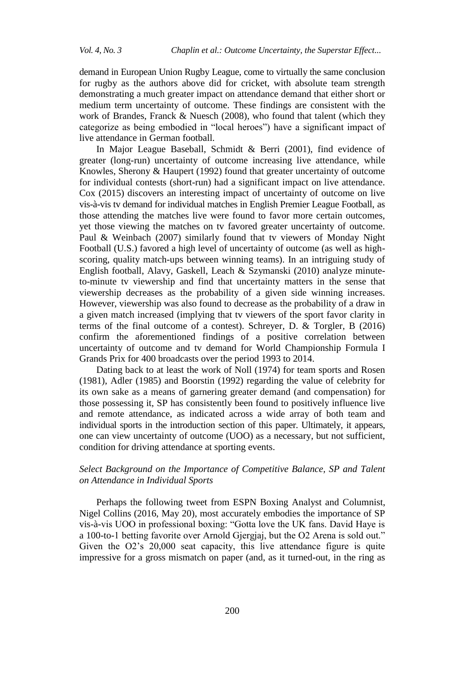demand in European Union Rugby League, come to virtually the same conclusion for rugby as the authors above did for cricket, with absolute team strength demonstrating a much greater impact on attendance demand that either short or medium term uncertainty of outcome. These findings are consistent with the work of Brandes, Franck & Nuesch (2008), who found that talent (which they categorize as being embodied in "local heroes") have a significant impact of live attendance in German football.

In Major League Baseball, Schmidt & Berri (2001), find evidence of greater (long-run) uncertainty of outcome increasing live attendance, while Knowles, Sherony & Haupert (1992) found that greater uncertainty of outcome for individual contests (short-run) had a significant impact on live attendance. Cox (2015) discovers an interesting impact of uncertainty of outcome on live vis-à-vis tv demand for individual matches in English Premier League Football, as those attending the matches live were found to favor more certain outcomes, yet those viewing the matches on tv favored greater uncertainty of outcome. Paul & Weinbach (2007) similarly found that tv viewers of Monday Night Football (U.S.) favored a high level of uncertainty of outcome (as well as highscoring, quality match-ups between winning teams). In an intriguing study of English football, Alavy, Gaskell, Leach & Szymanski (2010) analyze minuteto-minute tv viewership and find that uncertainty matters in the sense that viewership decreases as the probability of a given side winning increases. However, viewership was also found to decrease as the probability of a draw in a given match increased (implying that tv viewers of the sport favor clarity in terms of the final outcome of a contest). Schreyer, D. & Torgler, B (2016) confirm the aforementioned findings of a positive correlation between uncertainty of outcome and tv demand for World Championship Formula I Grands Prix for 400 broadcasts over the period 1993 to 2014.

Dating back to at least the work of Noll (1974) for team sports and Rosen (1981), Adler (1985) and Boorstin (1992) regarding the value of celebrity for its own sake as a means of garnering greater demand (and compensation) for those possessing it, SP has consistently been found to positively influence live and remote attendance, as indicated across a wide array of both team and individual sports in the introduction section of this paper. Ultimately, it appears, one can view uncertainty of outcome (UOO) as a necessary, but not sufficient, condition for driving attendance at sporting events.

# *Select Background on the Importance of Competitive Balance, SP and Talent on Attendance in Individual Sports*

Perhaps the following tweet from ESPN Boxing Analyst and Columnist, Nigel Collins (2016, May 20), most accurately embodies the importance of SP vis-à-vis UOO in professional boxing: "Gotta love the UK fans. David Haye is a 100-to-1 betting favorite over Arnold Gjergjaj, but the O2 Arena is sold out." Given the O2"s 20,000 seat capacity, this live attendance figure is quite impressive for a gross mismatch on paper (and, as it turned-out, in the ring as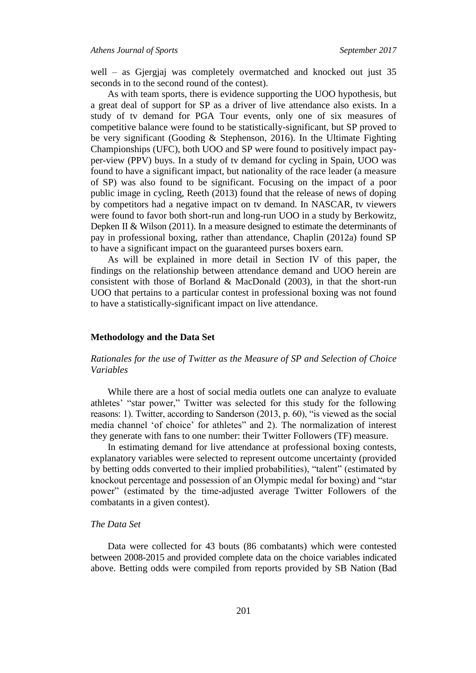well – as Gjergjaj was completely overmatched and knocked out just 35 seconds in to the second round of the contest).

As with team sports, there is evidence supporting the UOO hypothesis, but a great deal of support for SP as a driver of live attendance also exists. In a study of tv demand for PGA Tour events, only one of six measures of competitive balance were found to be statistically-significant, but SP proved to be very significant (Gooding & Stephenson, 2016). In the Ultimate Fighting Championships (UFC), both UOO and SP were found to positively impact payper-view (PPV) buys. In a study of tv demand for cycling in Spain, UOO was found to have a significant impact, but nationality of the race leader (a measure of SP) was also found to be significant. Focusing on the impact of a poor public image in cycling, Reeth (2013) found that the release of news of doping by competitors had a negative impact on tv demand. In NASCAR, tv viewers were found to favor both short-run and long-run UOO in a study by Berkowitz, Depken II & Wilson (2011). In a measure designed to estimate the determinants of pay in professional boxing, rather than attendance, Chaplin (2012a) found SP to have a significant impact on the guaranteed purses boxers earn.

As will be explained in more detail in Section IV of this paper, the findings on the relationship between attendance demand and UOO herein are consistent with those of Borland & MacDonald (2003), in that the short-run UOO that pertains to a particular contest in professional boxing was not found to have a statistically-significant impact on live attendance.

### **Methodology and the Data Set**

# *Rationales for the use of Twitter as the Measure of SP and Selection of Choice Variables*

While there are a host of social media outlets one can analyze to evaluate athletes' "star power," Twitter was selected for this study for the following reasons: 1). Twitter, according to Sanderson (2013, p. 60), "is viewed as the social media channel "of choice" for athletes" and 2). The normalization of interest they generate with fans to one number: their Twitter Followers (TF) measure.

In estimating demand for live attendance at professional boxing contests, explanatory variables were selected to represent outcome uncertainty (provided by betting odds converted to their implied probabilities), "talent" (estimated by knockout percentage and possession of an Olympic medal for boxing) and "star power" (estimated by the time-adjusted average Twitter Followers of the combatants in a given contest).

# *The Data Set*

Data were collected for 43 bouts (86 combatants) which were contested between 2008-2015 and provided complete data on the choice variables indicated above. Betting odds were compiled from reports provided by SB Nation (Bad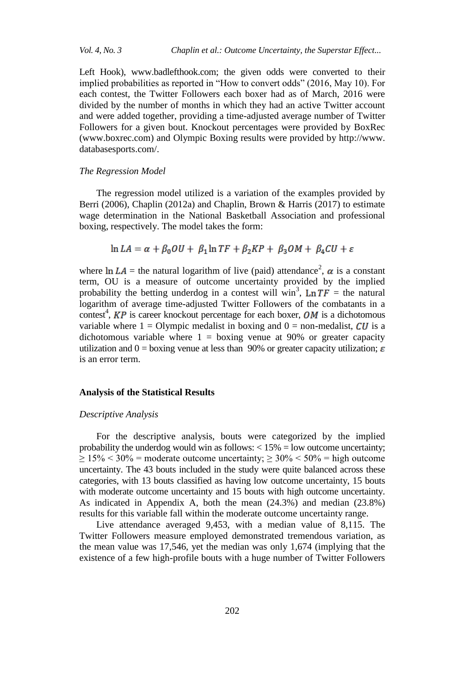Left Hook), www.badlefthook.com; the given odds were converted to their implied probabilities as reported in "How to convert odds" (2016, May 10). For each contest, the Twitter Followers each boxer had as of March, 2016 were divided by the number of months in which they had an active Twitter account and were added together, providing a time-adjusted average number of Twitter Followers for a given bout. Knockout percentages were provided by BoxRec (www.boxrec.com) and Olympic Boxing results were provided by http://www. databasesports.com/.

### *The Regression Model*

The regression model utilized is a variation of the examples provided by Berri (2006), Chaplin (2012a) and Chaplin, Brown & Harris (2017) to estimate wage determination in the National Basketball Association and professional boxing, respectively. The model takes the form:

$$
\ln LA = \alpha + \beta_0 OU + \beta_1 \ln TF + \beta_2 KP + \beta_3 OM + \beta_4 CU + \varepsilon
$$

where  $\ln LA$  = the natural logarithm of live (paid) attendance<sup>2</sup>,  $\alpha$  is a constant term, OU is a measure of outcome uncertainty provided by the implied probability the betting underdog in a contest will win<sup>3</sup>,  $\text{Ln } TF =$  the natural logarithm of average time-adjusted Twitter Followers of the combatants in a contest<sup>4</sup>,  $KP$  is career knockout percentage for each boxer,  $OM$  is a dichotomous variable where  $1 =$  Olympic medalist in boxing and  $0 =$  non-medalist, CU is a dichotomous variable where  $1 =$  boxing venue at 90% or greater capacity utilization and  $0 =$  boxing venue at less than 90% or greater capacity utilization;  $\varepsilon$ is an error term.

#### **Analysis of the Statistical Results**

#### *Descriptive Analysis*

For the descriptive analysis, bouts were categorized by the implied probability the underdog would win as follows:  $< 15\% =$  low outcome uncertainty;  $\geq 15\%$  < 30% = moderate outcome uncertainty;  $\geq 30\%$  < 50% = high outcome uncertainty. The 43 bouts included in the study were quite balanced across these categories, with 13 bouts classified as having low outcome uncertainty, 15 bouts with moderate outcome uncertainty and 15 bouts with high outcome uncertainty. As indicated in Appendix A, both the mean (24.3%) and median (23.8%) results for this variable fall within the moderate outcome uncertainty range.

Live attendance averaged 9,453, with a median value of 8,115. The Twitter Followers measure employed demonstrated tremendous variation, as the mean value was 17,546, yet the median was only 1,674 (implying that the existence of a few high-profile bouts with a huge number of Twitter Followers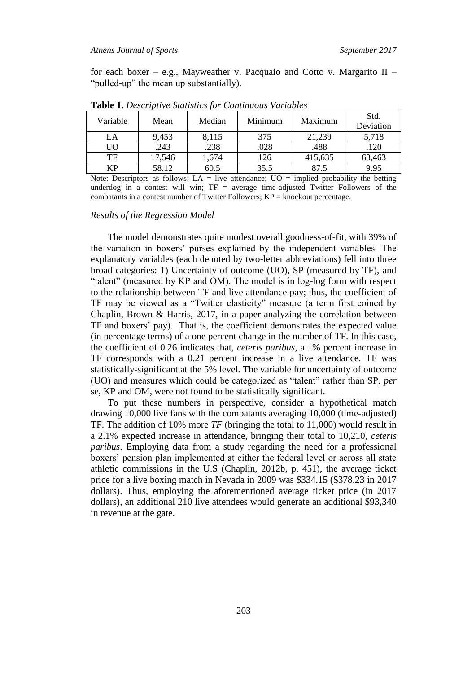for each boxer – e.g., Mayweather v. Pacquaio and Cotto v. Margarito  $II$  – "pulled-up" the mean up substantially).

| Variable | Mean   | Median | Minimum | Maximum | Std.<br>Deviation |
|----------|--------|--------|---------|---------|-------------------|
| LA       | 9,453  | 8,115  | 375     | 21,239  | 5,718             |
| UO       | .243   | .238   | .028    | .488    | .120              |
| TF       | 17,546 | 1,674  | 126     | 415,635 | 63,463            |
| КP       | 58.12  | 60.5   | 35.5    | 87.5    | 9.95              |
|          |        |        |         |         |                   |

**Table 1.** *Descriptive Statistics for Continuous Variables*

Note: Descriptors as follows:  $LA = live$  attendance;  $UO =$  implied probability the betting underdog in a contest will win;  $TF = average time-adjusted Twitter Followers of the$ combatants in a contest number of Twitter Followers;  $KP =$  knockout percentage.

#### *Results of the Regression Model*

The model demonstrates quite modest overall goodness-of-fit, with 39% of the variation in boxers" purses explained by the independent variables. The explanatory variables (each denoted by two-letter abbreviations) fell into three broad categories: 1) Uncertainty of outcome (UO), SP (measured by TF), and "talent" (measured by KP and OM). The model is in log-log form with respect to the relationship between TF and live attendance pay; thus, the coefficient of TF may be viewed as a "Twitter elasticity" measure (a term first coined by Chaplin, Brown & Harris, 2017, in a paper analyzing the correlation between TF and boxers" pay). That is, the coefficient demonstrates the expected value (in percentage terms) of a one percent change in the number of TF. In this case, the coefficient of 0.26 indicates that, *ceteris paribus*, a 1% percent increase in TF corresponds with a 0.21 percent increase in a live attendance. TF was statistically-significant at the 5% level. The variable for uncertainty of outcome (UO) and measures which could be categorized as "talent" rather than SP, *per*  se, KP and OM, were not found to be statistically significant.

To put these numbers in perspective, consider a hypothetical match drawing 10,000 live fans with the combatants averaging 10,000 (time-adjusted) TF. The addition of 10% more *TF* (bringing the total to 11,000) would result in a 2.1% expected increase in attendance, bringing their total to 10,210, *ceteris paribus*. Employing data from a study regarding the need for a professional boxers' pension plan implemented at either the federal level or across all state athletic commissions in the U.S (Chaplin, 2012b, p. 451), the average ticket price for a live boxing match in Nevada in 2009 was \$334.15 (\$378.23 in 2017 dollars). Thus, employing the aforementioned average ticket price (in 2017 dollars), an additional 210 live attendees would generate an additional \$93,340 in revenue at the gate.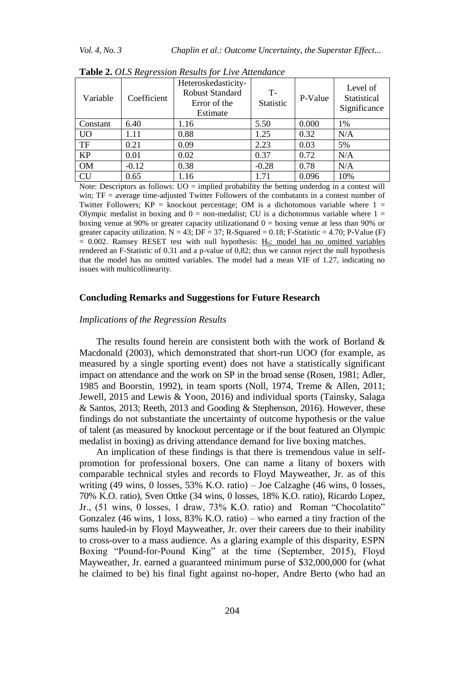*Vol. 4, No. 3 Chaplin et al.: Outcome Uncertainty, the Superstar Effect...*

|           | $\cdot$     |                                                                           |                   |         |                                         |
|-----------|-------------|---------------------------------------------------------------------------|-------------------|---------|-----------------------------------------|
| Variable  | Coefficient | Heteroskedasticity-<br><b>Robust Standard</b><br>Error of the<br>Estimate | $T-$<br>Statistic | P-Value | Level of<br>Statistical<br>Significance |
| Constant  | 6.40        | 1.16                                                                      | 5.50              | 0.000   | 1%                                      |
| UO        | 1.11        | 0.88                                                                      | 1.25              | 0.32    | N/A                                     |
| TF        | 0.21        | 0.09                                                                      | 2.23              | 0.03    | 5%                                      |
| <b>KP</b> | 0.01        | 0.02                                                                      | 0.37              | 0.72    | N/A                                     |
| <b>OM</b> | $-0.12$     | 0.38                                                                      | $-0.28$           | 0.78    | N/A                                     |
| <b>CU</b> | 0.65        | 1.16                                                                      | 1.71              | 0.096   | 10%                                     |

**Table 2.** *OLS Regression Results for Live Attendance*

Note: Descriptors as follows:  $UO =$  implied probability the betting underdog in a contest will win; TF = average time-adjusted Twitter Followers of the combatants in a contest number of Twitter Followers;  $KP =$  knockout percentage; OM is a dichotomous variable where  $1 =$ Olympic medalist in boxing and  $0 =$  non-medalist; CU is a dichotomous variable where  $1 =$ boxing venue at 90% or greater capacity utilizationand  $0 =$  boxing venue at less than 90% or greater capacity utilization.  $N = 43$ ;  $DF = 37$ ; R-Squared = 0.18; F-Statistic = 4.70; P-Value (F)  $= 0.002$ . Ramsey RESET test with null hypothesis: H<sub>0</sub>: model has no omitted variables rendered an F-Statistic of 0.31 and a p-value of 0,82; thus we cannot reject the null hypothesis that the model has no omitted variables. The model had a mean VIF of 1.27, indicating no issues with multicollinearity.

#### **Concluding Remarks and Suggestions for Future Research**

## *Implications of the Regression Results*

The results found herein are consistent both with the work of Borland  $\&$ Macdonald (2003), which demonstrated that short-run UOO (for example, as measured by a single sporting event) does not have a statistically significant impact on attendance and the work on SP in the broad sense (Rosen, 1981; Adler, 1985 and Boorstin, 1992), in team sports (Noll, 1974, Treme & Allen, 2011; Jewell, 2015 and Lewis & Yoon, 2016) and individual sports (Tainsky, Salaga & Santos, 2013; Reeth, 2013 and Gooding & Stephenson, 2016). However, these findings do not substantiate the uncertainty of outcome hypothesis or the value of talent (as measured by knockout percentage or if the bout featured an Olympic medalist in boxing) as driving attendance demand for live boxing matches.

An implication of these findings is that there is tremendous value in selfpromotion for professional boxers. One can name a litany of boxers with comparable technical styles and records to Floyd Mayweather, Jr. as of this writing (49 wins, 0 losses, 53% K.O. ratio) – Joe Calzaghe (46 wins, 0 losses, 70% K.O. ratio), Sven Ottke (34 wins, 0 losses, 18% K.O. ratio), Ricardo Lopez, Jr., (51 wins, 0 losses, 1 draw, 73% K.O. ratio) and Roman "Chocolatito" Gonzalez (46 wins, 1 loss, 83% K.O. ratio) – who earned a tiny fraction of the sums hauled-in by Floyd Mayweather, Jr. over their careers due to their inability to cross-over to a mass audience. As a glaring example of this disparity, ESPN Boxing "Pound-for-Pound King" at the time (September, 2015), Floyd Mayweather, Jr. earned a guaranteed minimum purse of \$32,000,000 for (what he claimed to be) his final fight against no-hoper, Andre Berto (who had an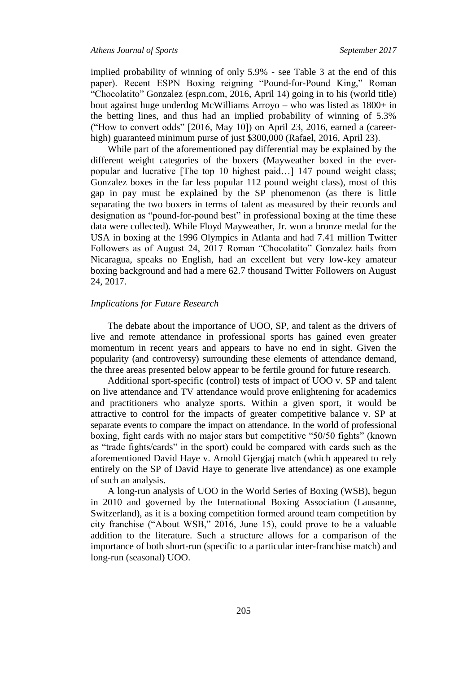implied probability of winning of only 5.9% - see Table 3 at the end of this paper). Recent ESPN Boxing reigning "Pound-for-Pound King," Roman "Chocolatito" Gonzalez (espn.com, 2016, April 14) going in to his (world title) bout against huge underdog McWilliams Arroyo – who was listed as 1800+ in the betting lines, and thus had an implied probability of winning of 5.3% ("How to convert odds" [2016, May 10]) on April 23, 2016, earned a (careerhigh) guaranteed minimum purse of just \$300,000 (Rafael, 2016, April 23).

While part of the aforementioned pay differential may be explained by the different weight categories of the boxers (Mayweather boxed in the everpopular and lucrative [The top 10 highest paid…] 147 pound weight class; Gonzalez boxes in the far less popular 112 pound weight class), most of this gap in pay must be explained by the SP phenomenon (as there is little separating the two boxers in terms of talent as measured by their records and designation as "pound-for-pound best" in professional boxing at the time these data were collected). While Floyd Mayweather, Jr. won a bronze medal for the USA in boxing at the 1996 Olympics in Atlanta and had 7.41 million Twitter Followers as of August 24, 2017 Roman "Chocolatito" Gonzalez hails from Nicaragua, speaks no English, had an excellent but very low-key amateur boxing background and had a mere 62.7 thousand Twitter Followers on August 24, 2017.

#### *Implications for Future Research*

The debate about the importance of UOO, SP, and talent as the drivers of live and remote attendance in professional sports has gained even greater momentum in recent years and appears to have no end in sight. Given the popularity (and controversy) surrounding these elements of attendance demand, the three areas presented below appear to be fertile ground for future research.

Additional sport-specific (control) tests of impact of UOO v. SP and talent on live attendance and TV attendance would prove enlightening for academics and practitioners who analyze sports. Within a given sport, it would be attractive to control for the impacts of greater competitive balance v. SP at separate events to compare the impact on attendance. In the world of professional boxing, fight cards with no major stars but competitive "50/50 fights" (known as "trade fights/cards" in the sport) could be compared with cards such as the aforementioned David Haye v. Arnold Gjergjaj match (which appeared to rely entirely on the SP of David Haye to generate live attendance) as one example of such an analysis.

A long-run analysis of UOO in the World Series of Boxing (WSB), begun in 2010 and governed by the International Boxing Association (Lausanne, Switzerland), as it is a boxing competition formed around team competition by city franchise ("About WSB," 2016, June 15), could prove to be a valuable addition to the literature. Such a structure allows for a comparison of the importance of both short-run (specific to a particular inter-franchise match) and long-run (seasonal) UOO.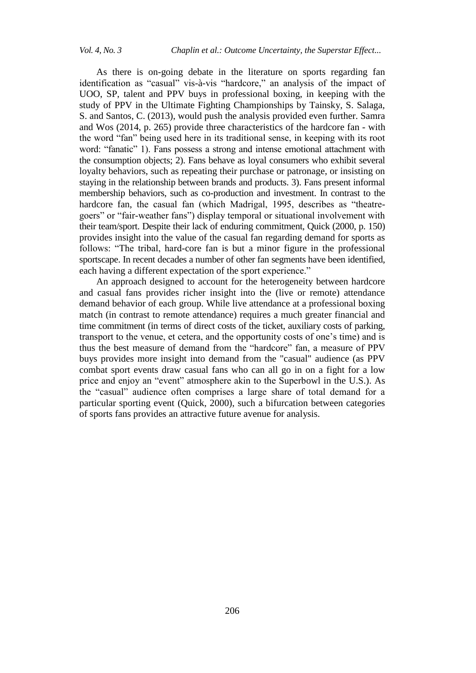As there is on-going debate in the literature on sports regarding fan identification as "casual" vis-à-vis "hardcore," an analysis of the impact of UOO, SP, talent and PPV buys in professional boxing, in keeping with the study of PPV in the Ultimate Fighting Championships by Tainsky, S. Salaga, S. and Santos, C. (2013), would push the analysis provided even further. Samra and Wos (2014, p. 265) provide three characteristics of the hardcore fan - with the word "fan" being used here in its traditional sense, in keeping with its root word: "fanatic" 1). Fans possess a strong and intense emotional attachment with the consumption objects; 2). Fans behave as loyal consumers who exhibit several loyalty behaviors, such as repeating their purchase or patronage, or insisting on staying in the relationship between brands and products. 3). Fans present informal membership behaviors, such as co-production and investment. In contrast to the hardcore fan, the casual fan (which Madrigal, 1995, describes as "theatregoers" or "fair-weather fans") display temporal or situational involvement with their team/sport. Despite their lack of enduring commitment, Quick (2000, p. 150) provides insight into the value of the casual fan regarding demand for sports as follows: "The tribal, hard-core fan is but a minor figure in the professional sportscape. In recent decades a number of other fan segments have been identified, each having a different expectation of the sport experience."

An approach designed to account for the heterogeneity between hardcore and casual fans provides richer insight into the (live or remote) attendance demand behavior of each group. While live attendance at a professional boxing match (in contrast to remote attendance) requires a much greater financial and time commitment (in terms of direct costs of the ticket, auxiliary costs of parking, transport to the venue, et cetera, and the opportunity costs of one"s time) and is thus the best measure of demand from the "hardcore" fan, a measure of PPV buys provides more insight into demand from the "casual" audience (as PPV combat sport events draw casual fans who can all go in on a fight for a low price and enjoy an "event" atmosphere akin to the Superbowl in the U.S.). As the "casual" audience often comprises a large share of total demand for a particular sporting event (Quick, 2000), such a bifurcation between categories of sports fans provides an attractive future avenue for analysis.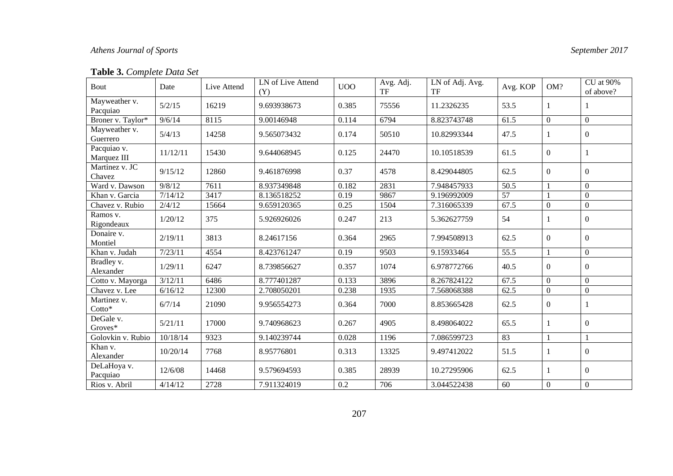# *Athens Journal of Sports September 2017*

# **Table 3.** *Complete Data Set*

| Bout                       | Date     | Live Attend | LN of Live Attend<br>(Y) | UO <sub>O</sub> | Avg. Adj.<br><b>TF</b> | LN of Adj. Avg.<br>TF | Avg. KOP          | OM?              | CU at 90%<br>of above? |
|----------------------------|----------|-------------|--------------------------|-----------------|------------------------|-----------------------|-------------------|------------------|------------------------|
| Mayweather v.<br>Pacquiao  | 5/2/15   | 16219       | 9.693938673              | 0.385           | 75556                  | 11.2326235            | 53.5              | 1                |                        |
| Broner v. Taylor*          | 9/6/14   | 8115        | 9.00146948               | 0.114           | 6794                   | 8.823743748           | 61.5              | $\overline{0}$   | $\theta$               |
| Mayweather v.<br>Guerrero  | 5/4/13   | 14258       | 9.565073432              | 0.174           | 50510                  | 10.82993344           | 47.5              | 1                | $\boldsymbol{0}$       |
| Pacquiao v.<br>Marquez III | 11/12/11 | 15430       | 9.644068945              | 0.125           | 24470                  | 10.10518539           | 61.5              | $\theta$         |                        |
| Martinez v. JC<br>Chavez   | 9/15/12  | 12860       | 9.461876998              | 0.37            | 4578                   | 8.429044805           | 62.5              | $\theta$         | $\Omega$               |
| Ward v. Dawson             | 9/8/12   | 7611        | 8.937349848              | 0.182           | 2831                   | 7.948457933           | $\overline{50.5}$ |                  | $\theta$               |
| Khan v. Garcia             | 7/14/12  | 3417        | 8.136518252              | 0.19            | 9867                   | 9.196992009           | 57                |                  | $\Omega$               |
| Chavez v. Rubio            | 2/4/12   | 15664       | 9.659120365              | 0.25            | 1504                   | 7.316065339           | 67.5              | $\Omega$         | $\Omega$               |
| Ramos v.<br>Rigondeaux     | 1/20/12  | 375         | 5.926926026              | 0.247           | 213                    | 5.362627759           | 54                | 1                | $\Omega$               |
| Donaire v.<br>Montiel      | 2/19/11  | 3813        | 8.24617156               | 0.364           | 2965                   | 7.994508913           | 62.5              | $\overline{0}$   | $\Omega$               |
| Khan v. Judah              | 7/23/11  | 4554        | 8.423761247              | 0.19            | 9503                   | 9.15933464            | 55.5              | 1                | $\boldsymbol{0}$       |
| Bradley v.<br>Alexander    | 1/29/11  | 6247        | 8.739856627              | 0.357           | 1074                   | 6.978772766           | 40.5              | $\theta$         | $\Omega$               |
| Cotto v. Mayorga           | 3/12/11  | 6486        | 8.777401287              | 0.133           | 3896                   | 8.267824122           | 67.5              | $\boldsymbol{0}$ | $\Omega$               |
| Chavez v. Lee              | 6/16/12  | 12300       | 2.708050201              | 0.238           | 1935                   | 7.568068388           | 62.5              | $\mathbf{0}$     | $\Omega$               |
| Martinez v.<br>Cotto*      | 6/7/14   | 21090       | 9.956554273              | 0.364           | 7000                   | 8.853665428           | 62.5              | $\theta$         |                        |
| DeGale v.<br>Groves*       | 5/21/11  | 17000       | 9.740968623              | 0.267           | 4905                   | 8.498064022           | 65.5              | 1                | $\Omega$               |
| Golovkin v. Rubio          | 10/18/14 | 9323        | 9.140239744              | 0.028           | 1196                   | 7.086599723           | 83                | $\mathbf{1}$     |                        |
| Khan v.<br>Alexander       | 10/20/14 | 7768        | 8.95776801               | 0.313           | 13325                  | 9.497412022           | 51.5              | 1                | $\theta$               |
| DeLaHoya v.<br>Pacquiao    | 12/6/08  | 14468       | 9.579694593              | 0.385           | 28939                  | 10.27295906           | 62.5              | 1                | $\Omega$               |
| Rios v. Abril              | 4/14/12  | 2728        | 7.911324019              | 0.2             | 706                    | 3.044522438           | 60                | $\boldsymbol{0}$ | $\boldsymbol{0}$       |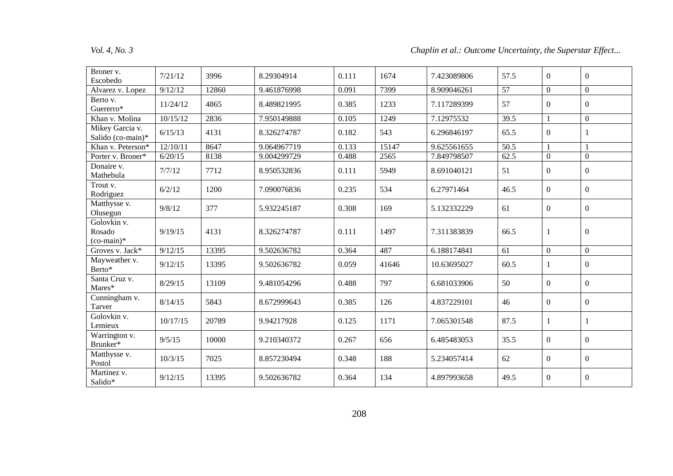# *Vol. 4, No. 3 Chaplin et al.: Outcome Uncertainty, the Superstar Effect...*

| Broner v.<br>Escobedo                 | 7/21/12  | 3996  | 8.29304914  | 0.111 | 1674  | 7.423089806 | 57.5              | $\overline{0}$ | $\theta$         |
|---------------------------------------|----------|-------|-------------|-------|-------|-------------|-------------------|----------------|------------------|
| Alvarez v. Lopez                      | 9/12/12  | 12860 | 9.461876998 | 0.091 | 7399  | 8.909046261 | 57                | $\overline{0}$ | $\overline{0}$   |
| Berto v.<br>Guererro*                 | 11/24/12 | 4865  | 8.489821995 | 0.385 | 1233  | 7.117289399 | 57                | $\overline{0}$ | $\boldsymbol{0}$ |
| Khan v. Molina                        | 10/15/12 | 2836  | 7.950149888 | 0.105 | 1249  | 7.12975532  | 39.5              | $\mathbf{1}$   | $\boldsymbol{0}$ |
| Mikey Garcia v.<br>Salido (co-main)*  | 6/15/13  | 4131  | 8.326274787 | 0.182 | 543   | 6.296846197 | 65.5              | $\overline{0}$ | -1               |
| Khan v. Peterson*                     | 12/10/11 | 8647  | 9.064967719 | 0.133 | 15147 | 9.625561655 | $\overline{50.5}$ | $\mathbf{1}$   |                  |
| Porter v. Broner*                     | 6/20/15  | 8138  | 9.004299729 | 0.488 | 2565  | 7.849798507 | 62.5              | $\mathbf{0}$   | $\mathbf{0}$     |
| Donaire v.<br>Mathebula               | 7/7/12   | 7712  | 8.950532836 | 0.111 | 5949  | 8.691040121 | 51                | $\overline{0}$ | $\boldsymbol{0}$ |
| Trout v.<br>Rodriguez                 | 6/2/12   | 1200  | 7.090076836 | 0.235 | 534   | 6.27971464  | 46.5              | $\overline{0}$ | $\boldsymbol{0}$ |
| Matthysse v.<br>Olusegun              | 9/8/12   | 377   | 5.932245187 | 0.308 | 169   | 5.132332229 | 61                | $\overline{0}$ | $\boldsymbol{0}$ |
| Golovkin v.<br>Rosado<br>$(co-main)*$ | 9/19/15  | 4131  | 8.326274787 | 0.111 | 1497  | 7.311383839 | 66.5              | 1              | $\mathbf{0}$     |
| Groves v. Jack*                       | 9/12/15  | 13395 | 9.502636782 | 0.364 | 487   | 6.188174841 | 61                | $\overline{0}$ | $\mathbf{0}$     |
| Mayweather v.<br>Berto*               | 9/12/15  | 13395 | 9.502636782 | 0.059 | 41646 | 10.63695027 | 60.5              | 1              | $\overline{0}$   |
| Santa Cruz v.<br>Mares*               | 8/29/15  | 13109 | 9.481054296 | 0.488 | 797   | 6.681033906 | 50                | $\overline{0}$ | $\boldsymbol{0}$ |
| Cunningham v.<br>Tarver               | 8/14/15  | 5843  | 8.672999643 | 0.385 | 126   | 4.837229101 | 46                | $\overline{0}$ | $\boldsymbol{0}$ |
| Golovkin v.<br>Lemieux                | 10/17/15 | 20789 | 9.94217928  | 0.125 | 1171  | 7.065301548 | 87.5              | 1              |                  |
| Warrington v.<br>Brunker*             | 9/5/15   | 10000 | 9.210340372 | 0.267 | 656   | 6.485483053 | 35.5              | $\overline{0}$ | $\overline{0}$   |
| Matthysse v.<br>Postol                | 10/3/15  | 7025  | 8.857230494 | 0.348 | 188   | 5.234057414 | 62                | $\overline{0}$ | $\boldsymbol{0}$ |
| Martinez v.<br>Salido*                | 9/12/15  | 13395 | 9.502636782 | 0.364 | 134   | 4.897993658 | 49.5              | $\overline{0}$ | $\boldsymbol{0}$ |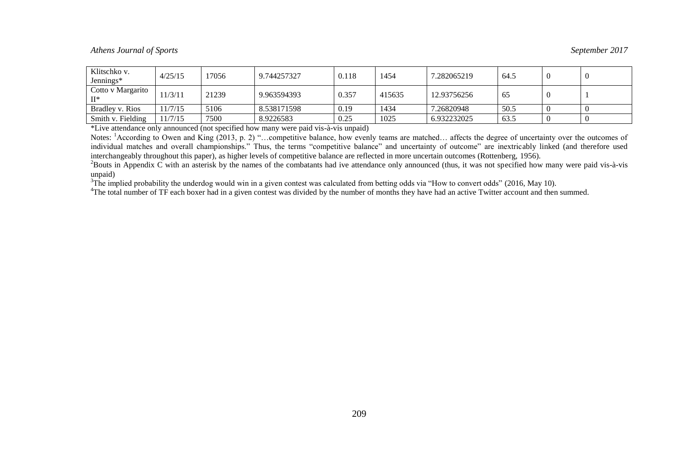# *Athens Journal of Sports September 2017*

| Klitschko v.<br>Jennings*    | 4/25/15 | 17056 | 9.744257327 | 0.118 | 1454   | 7.282065219 | 64.5 |  |
|------------------------------|---------|-------|-------------|-------|--------|-------------|------|--|
| Cotto v Margarito<br>$\Pi^*$ | 1/3/11  | 21239 | 9.963594393 | 0.357 | 415635 | 12.93756256 | 65   |  |
| Bradley v. Rios              | 1/7/15  | 5106  | 8.538171598 | 0.19  | 1434   | 7.26820948  | 50.5 |  |
| Smith v. Fielding            | 1/7/15  | 7500  | 8.9226583   | 0.25  | 1025   | 6.932232025 | 63.5 |  |

\*Live attendance only announced (not specified how many were paid vis-à-vis unpaid)

Notes: <sup>1</sup>According to Owen and King (2013, p. 2) "...competitive balance, how evenly teams are matched... affects the degree of uncertainty over the outcomes of individual matches and overall championships." Thus, the terms "competitive balance" and uncertainty of outcome" are inextricably linked (and therefore used interchangeably throughout this paper), as higher levels of competitive balance are reflected in more uncertain outcomes (Rottenberg, 1956).

 $^{2}$ Bouts in Appendix C with an asterisk by the names of the combatants had ive attendance only announced (thus, it was not specified how many were paid vis-à-vis unpaid)

 $3$ The implied probability the underdog would win in a given contest was calculated from betting odds via "How to convert odds" (2016, May 10).

<sup>4</sup>The total number of TF each boxer had in a given contest was divided by the number of months they have had an active Twitter account and then summed.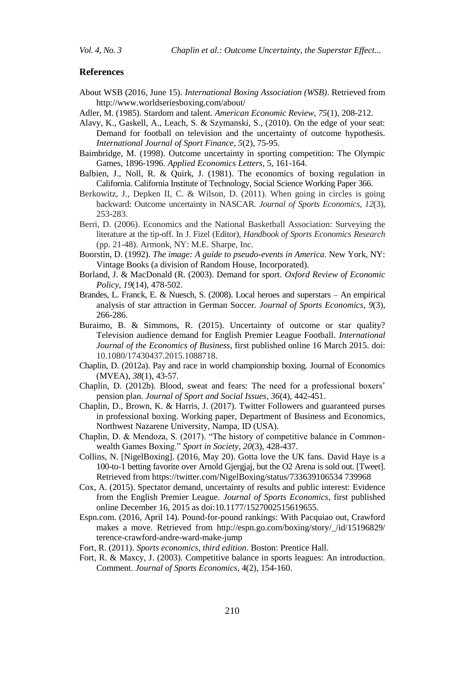#### **References**

- About WSB (2016, June 15). *International Boxing Association (WSB)*. Retrieved from http://www.worldseriesboxing.com/about/
- Adler, M. (1985). Stardom and talent. *American Economic Review*, *75*(1), 208-212.
- Alavy, K., Gaskell, A., Leach, S. & Szymanski, S., (2010). On the edge of your seat: Demand for football on television and the uncertainty of outcome hypothesis. *International Journal of Sport Finance*, *5*(2), 75-95.
- Baimbridge, M. (1998). Outcome uncertainty in sporting competition: The Olympic Games, 1896-1996. *Applied Economics Letters*, 5, 161-164.
- Balbien, J., Noll, R. & Quirk, J. (1981). The economics of boxing regulation in California. California Institute of Technology, Social Science Working Paper 366.
- Berkowitz, J., Depken II, C. & Wilson, D. (2011). When going in circles is going backward: Outcome uncertainty in NASCAR. *Journal of Sports Economics*, *12*(3), 253-283.
- Berri, D. (2006). Economics and the National Basketball Association: Surveying the literature at the tip-off. In J. Fizel (Editor), *Handbook of Sports Economics Research* (pp. 21-48). Armonk, NY: M.E. Sharpe, Inc.
- Boorstin, D. (1992). *The image: A guide to pseudo-events in America*. New York, NY: Vintage Books (a division of Random House, Incorporated).
- Borland, J. & MacDonald (R. (2003). Demand for sport. *Oxford Review of Economic Policy*, *19*(14), 478-502.
- Brandes, L. Franck, E. & Nuesch, S. (2008). Local heroes and superstars An empirical analysis of star attraction in German Soccer. *Journal of Sports Economics, 9*(3), 266-286.
- Buraimo, B. & Simmons, R. (2015). Uncertainty of outcome or star quality? Television audience demand for English Premier League Football. *International Journal of the Economics of Business*, first published online 16 March 2015. doi: 10.1080/17430437.2015.1088718.
- Chaplin, D. (2012a). Pay and race in world championship boxing. Journal of Economics (MVEA), *38*(1), 43-57.
- Chaplin, D. (2012b). Blood, sweat and fears: The need for a professional boxers" pension plan. *Journal of Sport and Social Issues*, *36*(4), 442-451.
- Chaplin, D., Brown, K. & Harris, J. (2017). Twitter Followers and guaranteed purses in professional boxing. Working paper, Department of Business and Economics, Northwest Nazarene University, Nampa, ID (USA).
- Chaplin, D. & Mendoza, S. (2017). "The history of competitive balance in Commonwealth Games Boxing." *Sport in Society*, *20*(3), 428-437.
- Collins, N. [NigelBoxing]. (2016, May 20). Gotta love the UK fans. David Haye is a 100-to-1 betting favorite over Arnold Gjergjaj, but the O2 Arena is sold out. [Tweet]. Retrieved from https://twitter.com/NigelBoxing/status/733639106534 739968
- Cox, A. (2015). Spectator demand, uncertainty of results and public interest: Evidence from the English Premier League. *Journal of Sports Economics*, first published online December 16, 2015 as doi:10.1177/1527002515619655.
- Espn.com. (2016, April 14). Pound-for-pound rankings: With Pacquiao out, Crawford makes a move. Retrieved from http://espn.go.com/boxing/story/\_/id/15196829/ terence-crawford-andre-ward-make-jump
- Fort, R. (2011). *Sports economics, third edition*. Boston: Prentice Hall.
- Fort, R. & Maxcy, J. (2003). Competitive balance in sports leagues: An introduction. Comment. *Journal of Sports Economics*, 4(2), 154-160.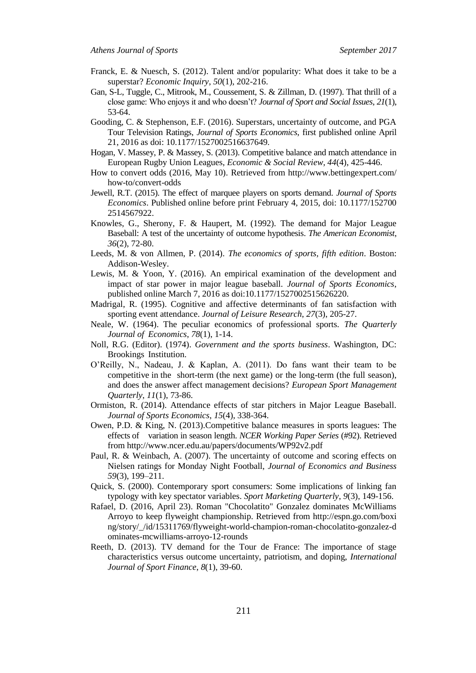- Franck, E. & Nuesch, S. (2012). Talent and/or popularity: What does it take to be a superstar? *Economic Inquiry*, *50*(1), 202-216.
- Gan, S-L, Tuggle, C., Mitrook, M., Coussement, S. & Zillman, D. (1997). That thrill of a close game: Who enjoys it and who doesn"t? *Journal of Sport and Social Issues*, *21*(1), 53-64.
- Gooding, C. & Stephenson, E.F. (2016). Superstars, uncertainty of outcome, and PGA Tour Television Ratings, *Journal of Sports Economics*, first published online April 21, 2016 as doi: 10.1177/1527002516637649.
- Hogan, V. Massey, P. & Massey, S. (2013). Competitive balance and match attendance in European Rugby Union Leagues, *Economic & Social Review, 44*(4), 425-446.
- How to convert odds (2016, May 10). Retrieved from http://www.bettingexpert.com/ how-to/convert-odds
- Jewell, R.T. (2015). The effect of marquee players on sports demand. *Journal of Sports Economics*. Published online before print February 4, 2015, doi: 10.1177/152700 2514567922.
- Knowles, G., Sherony, F. & Haupert, M. (1992). The demand for Major League Baseball: A test of the uncertainty of outcome hypothesis. *The American Economist*, *36*(2), 72-80.
- Leeds, M. & von Allmen, P. (2014). *The economics of sports, fifth edition*. Boston: Addison-Wesley.
- Lewis, M. & Yoon, Y. (2016). An empirical examination of the development and impact of star power in major league baseball. *Journal of Sports Economics*, published online March 7, 2016 as doi:10.1177/1527002515626220.
- Madrigal, R. (1995). Cognitive and affective determinants of fan satisfaction with sporting event attendance. *Journal of Leisure Research*, *27*(3), 205-27.
- Neale, W. (1964). The peculiar economics of professional sports. *The Quarterly Journal of Economics*, *78*(1), 1-14.
- Noll, R.G. (Editor). (1974). *Government and the sports business*. Washington, DC: Brookings Institution.
- O"Reilly, N., Nadeau, J. & Kaplan, A. (2011). Do fans want their team to be competitive in the short-term (the next game) or the long-term (the full season), and does the answer affect management decisions? *European Sport Management Quarterly*, *11*(1), 73-86.
- Ormiston, R. (2014). Attendance effects of star pitchers in Major League Baseball. *Journal of Sports Economics*, *15*(4), 338-364.
- Owen, P.D. & King, N. (2013).Competitive balance measures in sports leagues: The effects of variation in season length. *NCER Working Paper Series* (#92). Retrieved from http://www.ncer.edu.au/papers/documents/WP92v2.pdf
- Paul, R. & Weinbach, A. (2007). The uncertainty of outcome and scoring effects on Nielsen ratings for Monday Night Football, *Journal of Economics and Business 59*(3), 199–211.
- Quick, S. (2000). Contemporary sport consumers: Some implications of linking fan typology with key spectator variables. *Sport Marketing Quarterly*, *9*(3), 149-156.
- Rafael, D. (2016, April 23). Roman "Chocolatito" Gonzalez dominates McWilliams Arroyo to keep flyweight championship. Retrieved from http://espn.go.com/boxi ng/story/\_/id/15311769/flyweight-world-champion-roman-chocolatito-gonzalez-d ominates-mcwilliams-arroyo-12-rounds
- Reeth, D. (2013). TV demand for the Tour de France: The importance of stage characteristics versus outcome uncertainty, patriotism, and doping, *International Journal of Sport Finance*, *8*(1), 39-60.